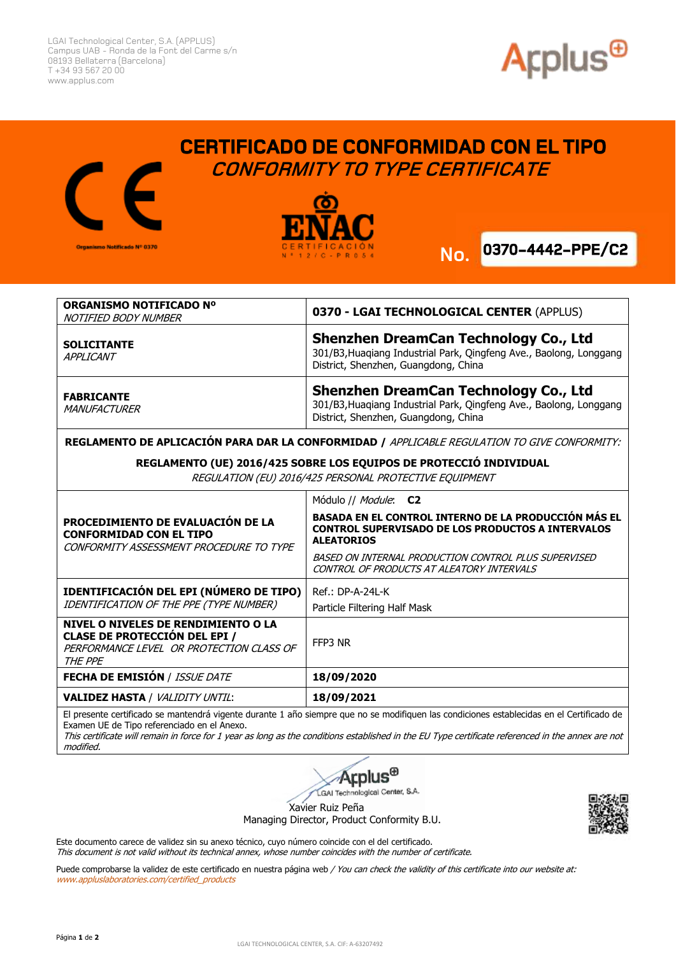LGAI Technological Center, S.A. (APPLUS) Campus UAB - Ronda de la Font del Carme s/n 08193 Bellaterra (Barcelona) T +34 93 567 20 00 www.applus.com







 **CERTIFICADO DE CONFORMIDAD CON EL TIPO** 

 **CONFORMITY TO TYPE CERTIFICATE**



| ORGANISMO NOTIFICADO Nº<br>NOTIFIED BODY NUMBER | 0370 - LGAI TECHNOLOGICAL CENTER (APPLUS)                                                                                                                  |
|-------------------------------------------------|------------------------------------------------------------------------------------------------------------------------------------------------------------|
| <b>SOLICITANTE</b><br><b>APPLICANT</b>          | <b>Shenzhen DreamCan Technology Co., Ltd</b><br>301/B3, Huaqiang Industrial Park, Qingfeng Ave., Baolong, Longgang<br>District, Shenzhen, Guangdong, China |
| <b>FABRICANTE</b><br>MANUFACTURER               | <b>Shenzhen DreamCan Technology Co., Ltd</b><br>301/B3, Huaqiang Industrial Park, Qingfeng Ave., Baolong, Longgang<br>District, Shenzhen, Guangdong, China |
|                                                 |                                                                                                                                                            |

**REGLAMENTO DE APLICACIÓN PARA DAR LA CONFORMIDAD /** APPLICABLE REGULATION TO GIVE CONFORMITY:

## **REGLAMENTO (UE) 2016/425 SOBRE LOS EQUIPOS DE PROTECCIÓ INDIVIDUAL**

REGULATION (EU) 2016/425 PERSONAL PROTECTIVE EQUIPMENT

| PROCEDIMIENTO DE EVALUACIÓN DE LA<br><b>CONFORMIDAD CON EL TIPO</b><br>CONFORMITY ASSESSMENT PROCEDURE TO TYPE                     | Módulo // Module: C2<br><b>BASADA EN EL CONTROL INTERNO DE LA PRODUCCIÓN MÁS EL</b><br><b>CONTROL SUPERVISADO DE LOS PRODUCTOS A INTERVALOS</b><br><b>ALEATORIOS</b><br>BASED ON INTERNAL PRODUCTION CONTROL PLUS SUPERVISED<br>CONTROL OF PRODUCTS AT ALEATORY INTERVALS |
|------------------------------------------------------------------------------------------------------------------------------------|---------------------------------------------------------------------------------------------------------------------------------------------------------------------------------------------------------------------------------------------------------------------------|
| IDENTIFICACIÓN DEL EPI (NÚMERO DE TIPO)<br>IDENTIFICATION OF THE PPE (TYPE NUMBER)                                                 | Ref.: DP-A-24L-K<br>Particle Filtering Half Mask                                                                                                                                                                                                                          |
| NIVEL O NIVELES DE RENDIMIENTO O LA<br><b>CLASE DE PROTECCIÓN DEL EPI /</b><br>PERFORMANCE LEVEL OR PROTECTION CLASS OF<br>THE PPE | FFP3 NR                                                                                                                                                                                                                                                                   |
| <b>FECHA DE EMISIÓN / ISSUE DATE</b>                                                                                               | 18/09/2020                                                                                                                                                                                                                                                                |
| <b>VALIDEZ HASTA / VALIDITY UNTIL:</b>                                                                                             | 18/09/2021                                                                                                                                                                                                                                                                |

El presente certificado se mantendrá vigente durante 1 año siempre que no se modifiquen las condiciones establecidas en el Certificado de Examen UE de Tipo referenciado en el Anexo.

This certificate will remain in force for 1 year as long as the conditions established in the EU Type certificate referenced in the annex are not modified.



Xavier Ruiz Peña

Managing Director, Product Conformity B.U.



Este documento carece de validez sin su anexo técnico, cuyo número coincide con el del certificado. This document is not valid without its technical annex, whose number coincides with the number of certificate.

Puede comprobarse la validez de este certificado en nuestra página web / You can check the validity of this certificate into our website at: www.appluslaboratories.com/certified\_products